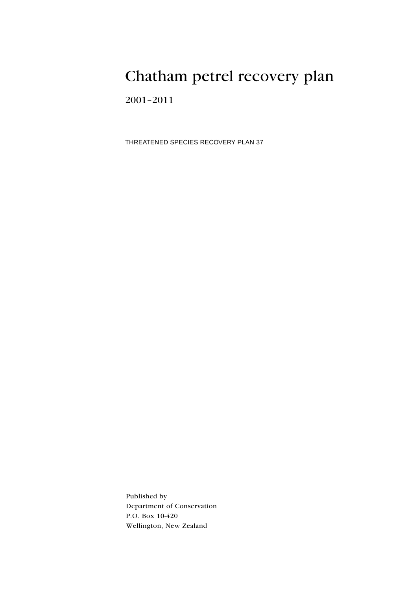# Chatham petrel recovery plan

 $2001 - 2011$ 

THREATENED SPECIES RECOVERY PLAN 37

Published by Department of Conservation P.O. Box 10-420 Wellington, New Zealand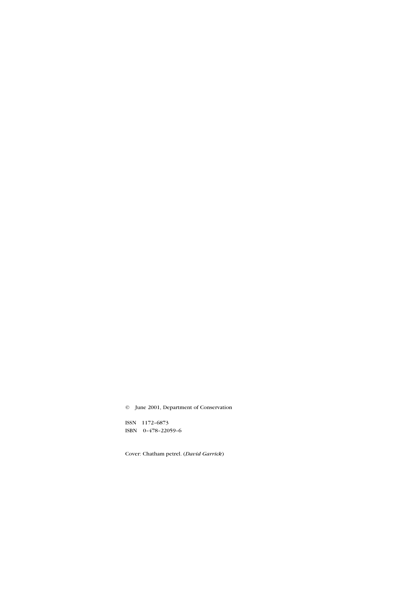© June 2001, Department of Conservation

ISSN 1172-6873 ISBN 0-478-22059-6

Cover: Chatham petrel. (David Garrick)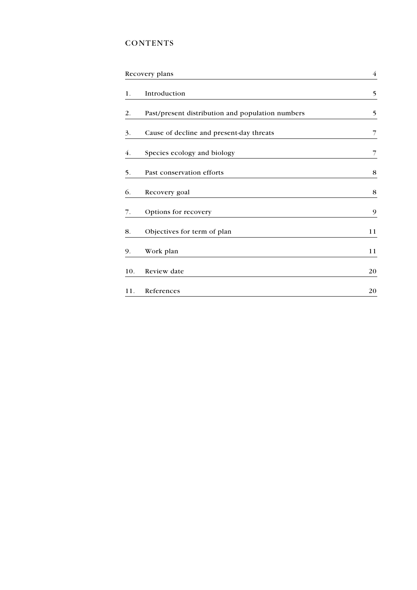## **CONTENTS**

| Recovery plans |                                                  | $\overline{4}$ |
|----------------|--------------------------------------------------|----------------|
| 1.             | Introduction                                     | 5              |
| 2.             | Past/present distribution and population numbers | 5              |
| 3.             | Cause of decline and present-day threats         | 7              |
| 4.             | Species ecology and biology                      | 7              |
| 5.             | Past conservation efforts                        | 8              |
| 6.             | Recovery goal                                    | 8              |
| 7.             | Options for recovery                             | 9              |
| 8.             | Objectives for term of plan                      | 11             |
| 9.             | Work plan                                        | 11             |
| 10.            | Review date                                      | 20             |
| 11.            | References                                       | 20             |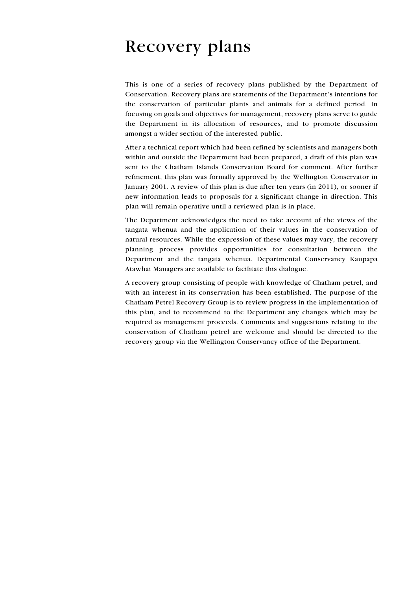# <span id="page-3-0"></span>**Recovery plans**

This is one of a series of recovery plans published by the Department of Conservation. Recovery plans are statements of the Department's intentions for the conservation of particular plants and animals for a defined period. In focusing on goals and objectives for management, recovery plans serve to guide the Department in its allocation of resources, and to promote discussion amongst a wider section of the interested public.

After a technical report which had been refined by scientists and managers both within and outside the Department had been prepared, a draft of this plan was sent to the Chatham Islands Conservation Board for comment. After further refinement, this plan was formally approved by the Wellington Conservator in January 2001. A review of this plan is due after ten years (in 2011), or sooner if new information leads to proposals for a significant change in direction. This plan will remain operative until a reviewed plan is in place.

The Department acknowledges the need to take account of the views of the tangata whenua and the application of their values in the conservation of natural resources. While the expression of these values may vary, the recovery planning process provides opportunities for consultation between the Department and the tangata whenua. Departmental Conservancy Kaupapa Atawhai Managers are available to facilitate this dialogue.

A recovery group consisting of people with knowledge of Chatham petrel, and with an interest in its conservation has been established. The purpose of the Chatham Petrel Recovery Group is to review progress in the implementation of this plan, and to recommend to the Department any changes which may be required as management proceeds. Comments and suggestions relating to the conservation of Chatham petrel are welcome and should be directed to the recovery group via the Wellington Conservancy office of the Department.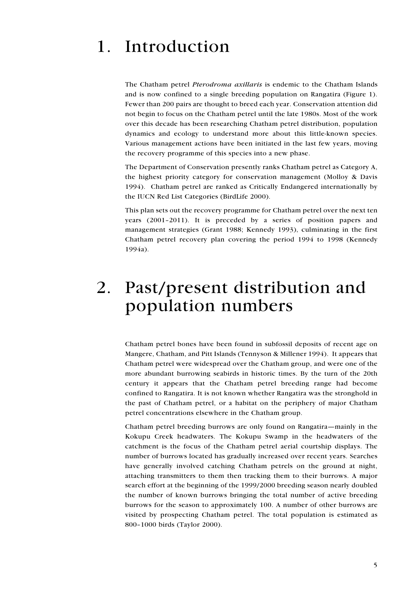## <span id="page-4-0"></span>Introduction  $1_{\cdot}$

The Chatham petrel *Pterodroma axillaris* is endemic to the Chatham Islands and is now confined to a single breeding population on Rangatira (Figure 1). Fewer than 200 pairs are thought to breed each year. Conservation attention did not begin to focus on the Chatham petrel until the late 1980s. Most of the work over this decade has been researching Chatham petrel distribution, population dynamics and ecology to understand more about this little-known species. Various management actions have been initiated in the last few years, moving the recovery programme of this species into a new phase.

The Department of Conservation presently ranks Chatham petrel as Category A, the highest priority category for conservation management (Molloy & Davis 1994). Chatham petrel are ranked as Critically Endangered internationally by the IUCN Red List Categories (BirdLife 2000).

This plan sets out the recovery programme for Chatham petrel over the next ten years  $(2001-2011)$ . It is preceded by a series of position papers and management strategies (Grant 1988; Kennedy 1993), culminating in the first Chatham petrel recovery plan covering the period 1994 to 1998 (Kennedy 1994a).

## Past/present distribution and  $2.$ population numbers

Chatham petrel bones have been found in subfossil deposits of recent age on Mangere, Chatham, and Pitt Islands (Tennyson & Millener 1994). It appears that Chatham petrel were widespread over the Chatham group, and were one of the more abundant burrowing seabirds in historic times. By the turn of the 20th century it appears that the Chatham petrel breeding range had become confined to Rangatira. It is not known whether Rangatira was the stronghold in the past of Chatham petrel, or a habitat on the periphery of major Chatham petrel concentrations elsewhere in the Chatham group.

Chatham petrel breeding burrows are only found on Rangatira—mainly in the Kokupu Creek headwaters. The Kokupu Swamp in the headwaters of the catchment is the focus of the Chatham petrel aerial courtship displays. The number of burrows located has gradually increased over recent years. Searches have generally involved catching Chatham petrels on the ground at night, attaching transmitters to them then tracking them to their burrows. A major search effort at the beginning of the 1999/2000 breeding season nearly doubled the number of known burrows bringing the total number of active breeding burrows for the season to approximately 100. A number of other burrows are visited by prospecting Chatham petrel. The total population is estimated as 800-1000 birds (Taylor 2000).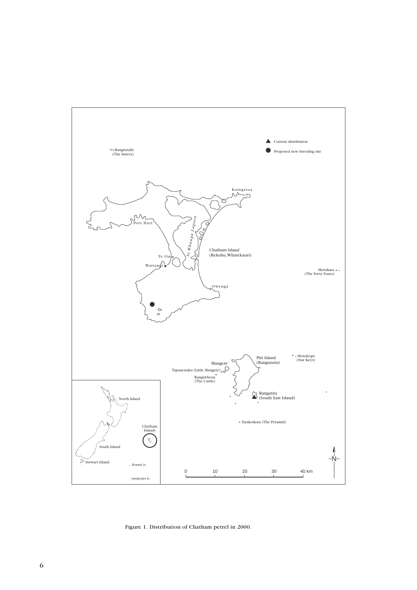

Figure 1. Distribution of Chatham petrel in 2000.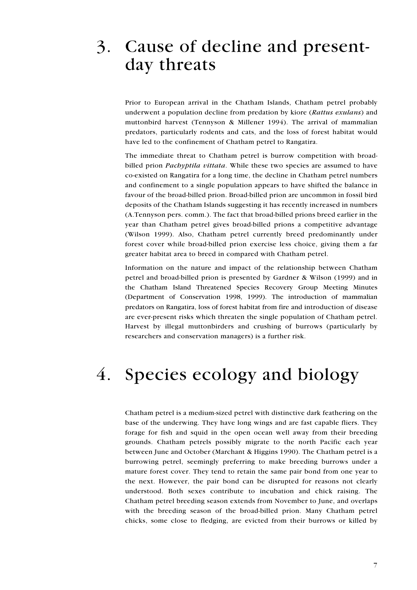# <span id="page-6-0"></span>3. Cause of decline and presentday threats

Prior to European arrival in the Chatham Islands, Chatham petrel probably underwent a population decline from predation by kiore (Rattus exulans) and muttonbird harvest (Tennyson & Millener 1994). The arrival of mammalian predators, particularly rodents and cats, and the loss of forest habitat would have led to the confinement of Chatham petrel to Rangatira.

The immediate threat to Chatham petrel is burrow competition with broadbilled prion *Pachyptila vittata*. While these two species are assumed to have co-existed on Rangatira for a long time, the decline in Chatham petrel numbers and confinement to a single population appears to have shifted the balance in favour of the broad-billed prion. Broad-billed prion are uncommon in fossil bird deposits of the Chatham Islands suggesting it has recently increased in numbers (A.Tennyson pers. comm.). The fact that broad-billed prions breed earlier in the year than Chatham petrel gives broad-billed prions a competitive advantage (Wilson 1999). Also, Chatham petrel currently breed predominantly under forest cover while broad-billed prion exercise less choice, giving them a far greater habitat area to breed in compared with Chatham petrel.

Information on the nature and impact of the relationship between Chatham petrel and broad-billed prion is presented by Gardner & Wilson (1999) and in the Chatham Island Threatened Species Recovery Group Meeting Minutes (Department of Conservation 1998, 1999). The introduction of mammalian predators on Rangatira, loss of forest habitat from fire and introduction of disease are ever-present risks which threaten the single population of Chatham petrel. Harvest by illegal muttonbirders and crushing of burrows (particularly by researchers and conservation managers) is a further risk.

## $\overline{4}$ . Species ecology and biology

Chatham petrel is a medium-sized petrel with distinctive dark feathering on the base of the underwing. They have long wings and are fast capable fliers. They forage for fish and squid in the open ocean well away from their breeding grounds. Chatham petrels possibly migrate to the north Pacific each year between June and October (Marchant & Higgins 1990). The Chatham petrel is a burrowing petrel, seemingly preferring to make breeding burrows under a mature forest cover. They tend to retain the same pair bond from one year to the next. However, the pair bond can be disrupted for reasons not clearly understood. Both sexes contribute to incubation and chick raising. The Chatham petrel breeding season extends from November to June, and overlaps with the breeding season of the broad-billed prion. Many Chatham petrel chicks, some close to fledging, are evicted from their burrows or killed by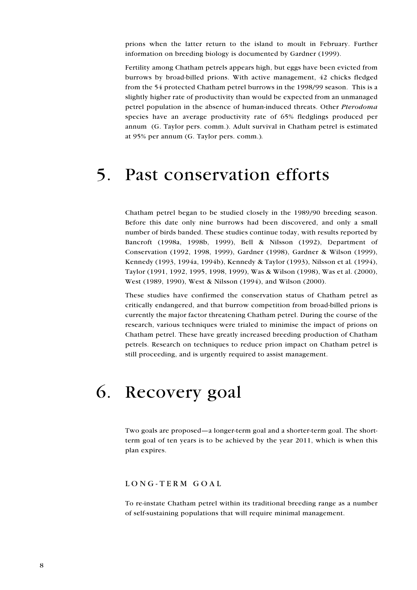<span id="page-7-0"></span>prions when the latter return to the island to moult in February. Further information on breeding biology is documented by Gardner (1999).

Fertility among Chatham petrels appears high, but eggs have been evicted from burrows by broad-billed prions. With active management, 42 chicks fledged from the 54 protected Chatham petrel burrows in the 1998/99 season. This is a slightly higher rate of productivity than would be expected from an unmanaged petrel population in the absence of human-induced threats. Other Pterodoma species have an average productivity rate of 65% fledglings produced per annum (G. Taylor pers. comm.). Adult survival in Chatham petrel is estimated at 95% per annum (G. Taylor pers. comm.).

#### Past conservation efforts  $5<sub>1</sub>$

Chatham petrel began to be studied closely in the 1989/90 breeding season. Before this date only nine burrows had been discovered, and only a small number of birds banded. These studies continue today, with results reported by Bancroft (1998a, 1998b, 1999), Bell & Nilsson (1992), Department of Conservation (1992, 1998, 1999), Gardner (1998), Gardner & Wilson (1999), Kennedy (1993, 1994a, 1994b), Kennedy & Taylor (1993), Nilsson et al. (1994), Taylor (1991, 1992, 1995, 1998, 1999), Was & Wilson (1998), Was et al. (2000), West (1989, 1990), West & Nilsson (1994), and Wilson (2000).

These studies have confirmed the conservation status of Chatham petrel as critically endangered, and that burrow competition from broad-billed prions is currently the major factor threatening Chatham petrel. During the course of the research, various techniques were trialed to minimise the impact of prions on Chatham petrel. These have greatly increased breeding production of Chatham petrels. Research on techniques to reduce prion impact on Chatham petrel is still proceeding, and is urgently required to assist management.

## 6. Recovery goal

Two goals are proposed—a longer-term goal and a shorter-term goal. The shortterm goal of ten years is to be achieved by the year 2011, which is when this plan expires.

#### LONG-TERM GOAL

To re-instate Chatham petrel within its traditional breeding range as a number of self-sustaining populations that will require minimal management.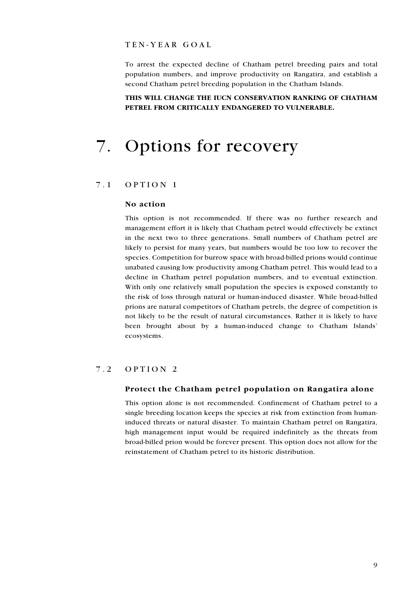#### <span id="page-8-0"></span>TEN-YEAR GOAL

To arrest the expected decline of Chatham petrel breeding pairs and total population numbers, and improve productivity on Rangatira, and establish a second Chatham petrel breeding population in the Chatham Islands.

## THIS WILL CHANGE THE IUCN CONSERVATION RANKING OF CHATHAM PETREL FROM CRITICALLY ENDANGERED TO VULNERABLE.

## **Options for recovery**  $7.$

#### $7.1$ OPTION 1

#### No action

This option is not recommended. If there was no further research and management effort it is likely that Chatham petrel would effectively be extinct in the next two to three generations. Small numbers of Chatham petrel are likely to persist for many years, but numbers would be too low to recover the species. Competition for burrow space with broad-billed prions would continue unabated causing low productivity among Chatham petrel. This would lead to a decline in Chatham petrel population numbers, and to eventual extinction. With only one relatively small population the species is exposed constantly to the risk of loss through natural or human-induced disaster. While broad-billed prions are natural competitors of Chatham petrels, the degree of competition is not likely to be the result of natural circumstances. Rather it is likely to have been brought about by a human-induced change to Chatham Islands' ecosystems.

#### $7.2$ OPTION<sub>2</sub>

#### Protect the Chatham petrel population on Rangatira alone

This option alone is not recommended. Confinement of Chatham petrel to a single breeding location keeps the species at risk from extinction from humaninduced threats or natural disaster. To maintain Chatham petrel on Rangatira, high management input would be required indefinitely as the threats from broad-billed prion would be forever present. This option does not allow for the reinstatement of Chatham petrel to its historic distribution.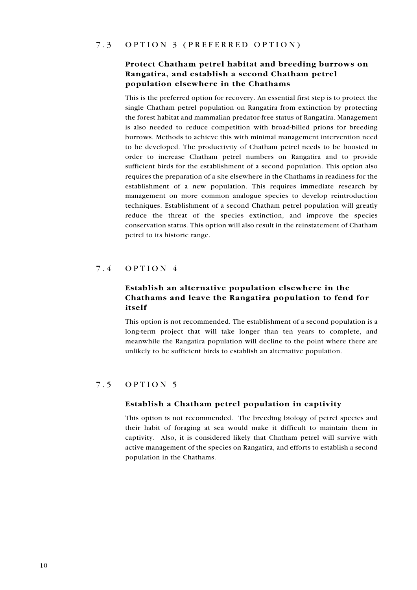#### <span id="page-9-0"></span> $7.3$ OPTION 3 (PREFERRED OPTION)

## Protect Chatham petrel habitat and breeding burrows on Rangatira, and establish a second Chatham petrel population elsewhere in the Chathams

This is the preferred option for recovery. An essential first step is to protect the single Chatham petrel population on Rangatira from extinction by protecting the forest habitat and mammalian predator-free status of Rangatira. Management is also needed to reduce competition with broad-billed prions for breeding burrows. Methods to achieve this with minimal management intervention need to be developed. The productivity of Chatham petrel needs to be boosted in order to increase Chatham petrel numbers on Rangatira and to provide sufficient birds for the establishment of a second population. This option also requires the preparation of a site elsewhere in the Chathams in readiness for the establishment of a new population. This requires immediate research by management on more common analogue species to develop reintroduction techniques. Establishment of a second Chatham petrel population will greatly reduce the threat of the species extinction, and improve the species conservation status. This option will also result in the reinstatement of Chatham petrel to its historic range.

#### $7.4$  $OPTION 4$

## Establish an alternative population elsewhere in the Chathams and leave the Rangatira population to fend for itself

This option is not recommended. The establishment of a second population is a long-term project that will take longer than ten years to complete, and meanwhile the Rangatira population will decline to the point where there are unlikely to be sufficient birds to establish an alternative population.

#### $7.5$ OPTION 5

#### Establish a Chatham petrel population in captivity

This option is not recommended. The breeding biology of petrel species and their habit of foraging at sea would make it difficult to maintain them in captivity. Also, it is considered likely that Chatham petrel will survive with active management of the species on Rangatira, and efforts to establish a second population in the Chathams.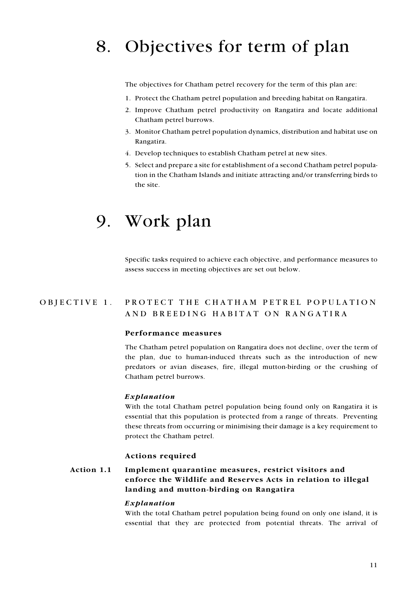# <span id="page-10-0"></span>8. Objectives for term of plan

The objectives for Chatham petrel recovery for the term of this plan are:

- 1. Protect the Chatham petrel population and breeding habitat on Rangatira.
- 2. Improve Chatham petrel productivity on Rangatira and locate additional Chatham petrel burrows.
- 3. Monitor Chatham petrel population dynamics, distribution and habitat use on Rangatira.
- 4. Develop techniques to establish Chatham petrel at new sites.
- 5. Select and prepare a site for establishment of a second Chatham petrel population in the Chatham Islands and initiate attracting and/or transferring birds to the site.

## 9. Work plan

Specific tasks required to achieve each objective, and performance measures to assess success in meeting objectives are set out below.

#### PROTECT THE CHATHAM PETREL POPULATION OBJECTIVE 1. AND BREEDING HABITAT ON RANGATIRA

#### Performance measures

The Chatham petrel population on Rangatira does not decline, over the term of the plan, due to human-induced threats such as the introduction of new predators or avian diseases, fire, illegal mutton-birding or the crushing of Chatham petrel burrows.

#### Explanation

With the total Chatham petrel population being found only on Rangatira it is essential that this population is protected from a range of threats. Preventing these threats from occurring or minimising their damage is a key requirement to protect the Chatham petrel.

#### Actions required

#### Action 1.1 Implement quarantine measures, restrict visitors and enforce the Wildlife and Reserves Acts in relation to illegal landing and mutton-birding on Rangatira

#### Explanation

With the total Chatham petrel population being found on only one island, it is essential that they are protected from potential threats. The arrival of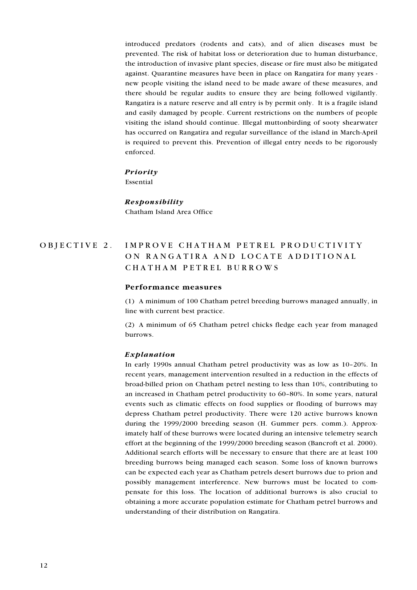introduced predators (rodents and cats), and of alien diseases must be prevented. The risk of habitat loss or deterioration due to human disturbance, the introduction of invasive plant species, disease or fire must also be mitigated against. Quarantine measures have been in place on Rangatira for many years new people visiting the island need to be made aware of these measures, and there should be regular audits to ensure they are being followed vigilantly. Rangatira is a nature reserve and all entry is by permit only. It is a fragile island and easily damaged by people. Current restrictions on the numbers of people visiting the island should continue. Illegal muttonbirding of sooty shearwater has occurred on Rangatira and regular surveillance of the island in March-April is required to prevent this. Prevention of illegal entry needs to be rigorously enforced.

#### **Priority**

Essential

## Responsibility

Chatham Island Area Office

#### IMPROVE CHATHAM PETREL PRODUCTIVITY OBJECTIVE 2. ON RANGATIRA AND LOCATE ADDITIONAL CHATHAM PETREL BURROWS

#### Performance measures

(1) A minimum of 100 Chatham petrel breeding burrows managed annually, in line with current best practice.

(2) A minimum of 65 Chatham petrel chicks fledge each year from managed burrows.

#### Explanation

In early 1990s annual Chatham petrel productivity was as low as 10-20%. In recent years, management intervention resulted in a reduction in the effects of broad-billed prion on Chatham petrel nesting to less than 10%, contributing to an increased in Chatham petrel productivity to 60-80%. In some years, natural events such as climatic effects on food supplies or flooding of burrows may depress Chatham petrel productivity. There were 120 active burrows known during the 1999/2000 breeding season (H. Gummer pers. comm.). Approximately half of these burrows were located during an intensive telemetry search effort at the beginning of the 1999/2000 breeding season (Bancroft et al. 2000). Additional search efforts will be necessary to ensure that there are at least 100 breeding burrows being managed each season. Some loss of known burrows can be expected each year as Chatham petrels desert burrows due to prion and possibly management interference. New burrows must be located to compensate for this loss. The location of additional burrows is also crucial to obtaining a more accurate population estimate for Chatham petrel burrows and understanding of their distribution on Rangatira.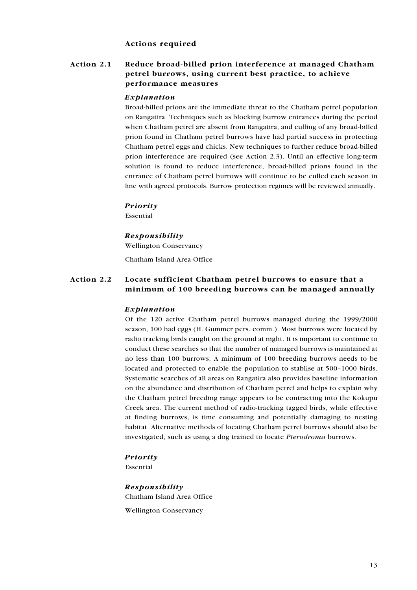#### **Actions required**

#### Action 2.1 Reduce broad-billed prion interference at managed Chatham petrel burrows, using current best practice, to achieve performance measures

#### Explanation

Broad-billed prions are the immediate threat to the Chatham petrel population on Rangatira. Techniques such as blocking burrow entrances during the period when Chatham petrel are absent from Rangatira, and culling of any broad-billed prion found in Chatham petrel burrows have had partial success in protecting Chatham petrel eggs and chicks. New techniques to further reduce broad-billed prion interference are required (see Action 2.3). Until an effective long-term solution is found to reduce interference, broad-billed prions found in the entrance of Chatham petrel burrows will continue to be culled each season in line with agreed protocols. Burrow protection regimes will be reviewed annually.

#### Priority

Essential

#### Responsibility

**Wellington Conservancy** 

Chatham Island Area Office

#### Action 2.2 Locate sufficient Chatham petrel burrows to ensure that a minimum of 100 breeding burrows can be managed annually

#### Explanation

Of the 120 active Chatham petrel burrows managed during the 1999/2000 season, 100 had eggs (H. Gummer pers. comm.). Most burrows were located by radio tracking birds caught on the ground at night. It is important to continue to conduct these searches so that the number of managed burrows is maintained at no less than 100 burrows. A minimum of 100 breeding burrows needs to be located and protected to enable the population to stablise at 500-1000 birds. Systematic searches of all areas on Rangatira also provides baseline information on the abundance and distribution of Chatham petrel and helps to explain why the Chatham petrel breeding range appears to be contracting into the Kokupu Creek area. The current method of radio-tracking tagged birds, while effective at finding burrows, is time consuming and potentially damaging to nesting habitat. Alternative methods of locating Chatham petrel burrows should also be investigated, such as using a dog trained to locate Pterodroma burrows.

### Priority

Essential

## Responsibility Chatham Island Area Office

**Wellington Conservancy**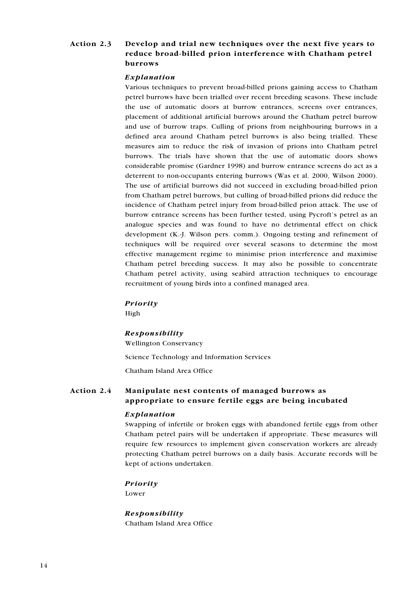#### Action 2.3 Develop and trial new techniques over the next five years to reduce broad-billed prion interference with Chatham petrel hurrows

#### Explanation

Various techniques to prevent broad-billed prions gaining access to Chatham petrel burrows have been trialled over recent breeding seasons. These include the use of automatic doors at burrow entrances, screens over entrances, placement of additional artificial burrows around the Chatham petrel burrow and use of burrow traps. Culling of prions from neighbouring burrows in a defined area around Chatham petrel burrows is also being trialled. These measures aim to reduce the risk of invasion of prions into Chatham petrel burrows. The trials have shown that the use of automatic doors shows considerable promise (Gardner 1998) and burrow entrance screens do act as a deterrent to non-occupants entering burrows (Was et al. 2000, Wilson 2000). The use of artificial burrows did not succeed in excluding broad-billed prion from Chatham petrel burrows, but culling of broad-billed prions did reduce the incidence of Chatham petrel injury from broad-billed prion attack. The use of burrow entrance screens has been further tested, using Pycroft's petrel as an analogue species and was found to have no detrimental effect on chick development (K.-J. Wilson pers. comm.). Ongoing testing and refinement of techniques will be required over several seasons to determine the most effective management regime to minimise prion interference and maximise Chatham petrel breeding success. It may also be possible to concentrate Chatham petrel activity, using seabird attraction techniques to encourage recruitment of young birds into a confined managed area.

#### Priority

High

### Responsibility

**Wellington Conservancy** 

Science Technology and Information Services

Chatham Island Area Office

#### Action 2.4 Manipulate nest contents of managed burrows as appropriate to ensure fertile eggs are being incubated

### Explanation

Swapping of infertile or broken eggs with abandoned fertile eggs from other Chatham petrel pairs will be undertaken if appropriate. These measures will require few resources to implement given conservation workers are already protecting Chatham petrel burrows on a daily basis. Accurate records will be kept of actions undertaken.

### Priority

Lower

Responsibility Chatham Island Area Office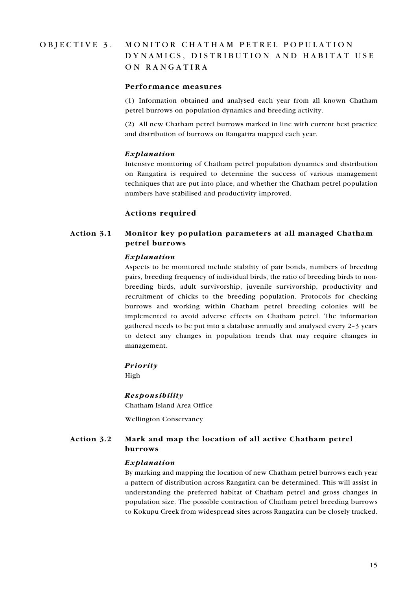#### OBJECTIVE 3. MONITOR CHATHAM PETREL POPULATION DYNAMICS, DISTRIBUTION AND HABITAT USE ON RANGATIRA

#### Performance measures

(1) Information obtained and analysed each year from all known Chatham petrel burrows on population dynamics and breeding activity.

(2) All new Chatham petrel burrows marked in line with current best practice and distribution of burrows on Rangatira mapped each year.

#### Explanation

Intensive monitoring of Chatham petrel population dynamics and distribution on Rangatira is required to determine the success of various management techniques that are put into place, and whether the Chatham petrel population numbers have stabilised and productivity improved.

#### **Actions required**

#### Action 3.1 Monitor key population parameters at all managed Chatham petrel burrows

#### Explanation

Aspects to be monitored include stability of pair bonds, numbers of breeding pairs, breeding frequency of individual birds, the ratio of breeding birds to nonbreeding birds, adult survivorship, juvenile survivorship, productivity and recruitment of chicks to the breeding population. Protocols for checking burrows and working within Chatham petrel breeding colonies will be implemented to avoid adverse effects on Chatham petrel. The information gathered needs to be put into a database annually and analysed every 2-3 years to detect any changes in population trends that may require changes in management.

#### Priority

High

#### Responsibility

Chatham Island Area Office

**Wellington Conservancy** 

#### Action 3.2 Mark and map the location of all active Chatham petrel burrows

#### Explanation

By marking and mapping the location of new Chatham petrel burrows each year a pattern of distribution across Rangatira can be determined. This will assist in understanding the preferred habitat of Chatham petrel and gross changes in population size. The possible contraction of Chatham petrel breeding burrows to Kokupu Creek from widespread sites across Rangatira can be closely tracked.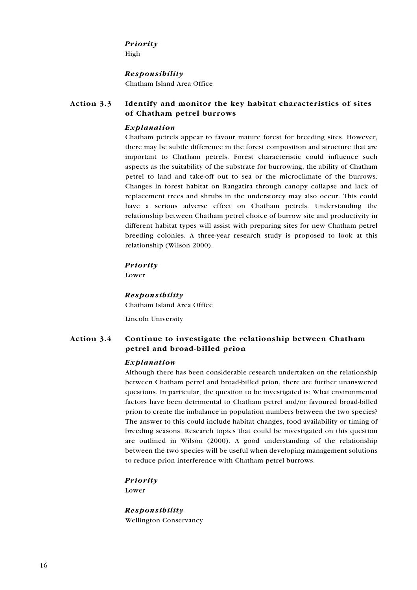#### Priority

High

#### Responsibility

Chatham Island Area Office

#### Action 3.3 Identify and monitor the key habitat characteristics of sites of Chatham petrel burrows

### Explanation

Chatham petrels appear to favour mature forest for breeding sites. However, there may be subtle difference in the forest composition and structure that are important to Chatham petrels. Forest characteristic could influence such aspects as the suitability of the substrate for burrowing, the ability of Chatham petrel to land and take-off out to sea or the microclimate of the burrows. Changes in forest habitat on Rangatira through canopy collapse and lack of replacement trees and shrubs in the understorey may also occur. This could have a serious adverse effect on Chatham petrels. Understanding the relationship between Chatham petrel choice of burrow site and productivity in different habitat types will assist with preparing sites for new Chatham petrel breeding colonies. A three-year research study is proposed to look at this relationship (Wilson 2000).

### Priority

Lower

### Responsibility

Chatham Island Area Office

Lincoln University

#### Action 3.4 Continue to investigate the relationship between Chatham petrel and broad-billed prion

### Explanation

Although there has been considerable research undertaken on the relationship between Chatham petrel and broad-billed prion, there are further unanswered questions. In particular, the question to be investigated is: What environmental factors have been detrimental to Chatham petrel and/or favoured broad-billed prion to create the imbalance in population numbers between the two species? The answer to this could include habitat changes, food availability or timing of breeding seasons. Research topics that could be investigated on this question are outlined in Wilson (2000). A good understanding of the relationship between the two species will be useful when developing management solutions to reduce prion interference with Chatham petrel burrows.

### Priority

Lower

Responsibility **Wellington Conservancy**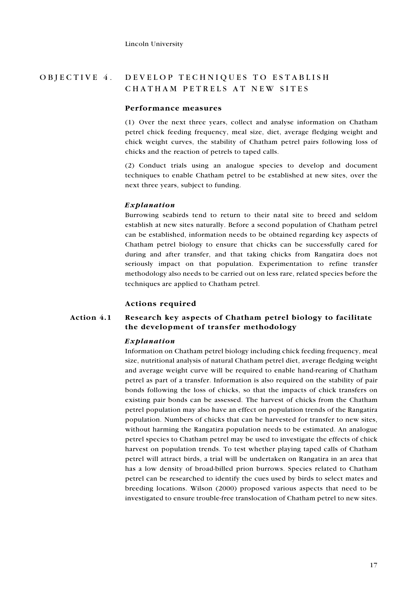#### DEVELOP TECHNIQUES TO ESTABLISH OBJECTIVE 4. CHATHAM PETRELS AT NEW SITES

#### Performance measures

(1) Over the next three years, collect and analyse information on Chatham petrel chick feeding frequency, meal size, diet, average fledging weight and chick weight curves, the stability of Chatham petrel pairs following loss of chicks and the reaction of petrels to taped calls.

(2) Conduct trials using an analogue species to develop and document techniques to enable Chatham petrel to be established at new sites, over the next three years, subject to funding.

## Explanation

Burrowing seabirds tend to return to their natal site to breed and seldom establish at new sites naturally. Before a second population of Chatham petrel can be established, information needs to be obtained regarding key aspects of Chatham petrel biology to ensure that chicks can be successfully cared for during and after transfer, and that taking chicks from Rangatira does not seriously impact on that population. Experimentation to refine transfer methodology also needs to be carried out on less rare, related species before the techniques are applied to Chatham petrel.

#### Actions required

#### Action 4.1 Research key aspects of Chatham petrel biology to facilitate the development of transfer methodology

#### Explanation

Information on Chatham petrel biology including chick feeding frequency, meal size, nutritional analysis of natural Chatham petrel diet, average fledging weight and average weight curve will be required to enable hand-rearing of Chatham petrel as part of a transfer. Information is also required on the stability of pair bonds following the loss of chicks, so that the impacts of chick transfers on existing pair bonds can be assessed. The harvest of chicks from the Chatham petrel population may also have an effect on population trends of the Rangatira population. Numbers of chicks that can be harvested for transfer to new sites, without harming the Rangatira population needs to be estimated. An analogue petrel species to Chatham petrel may be used to investigate the effects of chick harvest on population trends. To test whether playing taped calls of Chatham petrel will attract birds, a trial will be undertaken on Rangatira in an area that has a low density of broad-billed prion burrows. Species related to Chatham petrel can be researched to identify the cues used by birds to select mates and breeding locations. Wilson (2000) proposed various aspects that need to be investigated to ensure trouble-free translocation of Chatham petrel to new sites.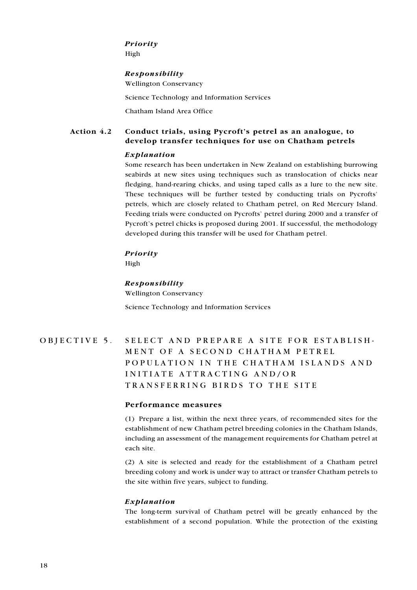## Priority

High

#### Responsibility

**Wellington Conservancy** 

Science Technology and Information Services

Chatham Island Area Office

#### Action 4.2 Conduct trials, using Pycroft's petrel as an analogue, to develop transfer techniques for use on Chatham petrels

#### Explanation

Some research has been undertaken in New Zealand on establishing burrowing seabirds at new sites using techniques such as translocation of chicks near fledging, hand-rearing chicks, and using taped calls as a lure to the new site. These techniques will be further tested by conducting trials on Pycrofts' petrels, which are closely related to Chatham petrel, on Red Mercury Island. Feeding trials were conducted on Pycrofts' petrel during 2000 and a transfer of Pycroft's petrel chicks is proposed during 2001. If successful, the methodology developed during this transfer will be used for Chatham petrel.

### Priority

High

### Responsibility

**Wellington Conservancy** Science Technology and Information Services

## OBJECTIVE 5. SELECT AND PREPARE A SITE FOR ESTABLISH-MENT OF A SECOND CHATHAM PETREL POPULATION IN THE CHATHAM ISLANDS AND INITIATE ATTRACTING AND/OR TRANSFERRING BIRDS TO THE SITE

### Performance measures

(1) Prepare a list, within the next three years, of recommended sites for the establishment of new Chatham petrel breeding colonies in the Chatham Islands, including an assessment of the management requirements for Chatham petrel at each site.

(2) A site is selected and ready for the establishment of a Chatham petrel breeding colony and work is under way to attract or transfer Chatham petrels to the site within five years, subject to funding.

### Explanation

The long-term survival of Chatham petrel will be greatly enhanced by the establishment of a second population. While the protection of the existing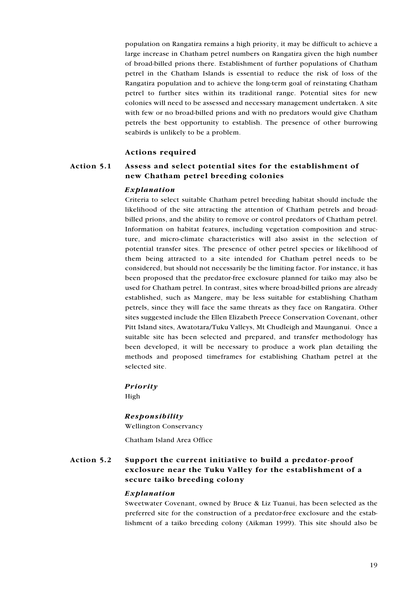population on Rangatira remains a high priority, it may be difficult to achieve a large increase in Chatham petrel numbers on Rangatira given the high number of broad-billed prions there. Establishment of further populations of Chatham petrel in the Chatham Islands is essential to reduce the risk of loss of the Rangatira population and to achieve the long-term goal of reinstating Chatham petrel to further sites within its traditional range. Potential sites for new colonies will need to be assessed and necessary management undertaken. A site with few or no broad-billed prions and with no predators would give Chatham petrels the best opportunity to establish. The presence of other burrowing seabirds is unlikely to be a problem.

#### **Actions required**

#### Action 5.1 Assess and select potential sites for the establishment of new Chatham petrel breeding colonies

#### Explanation

Criteria to select suitable Chatham petrel breeding habitat should include the likelihood of the site attracting the attention of Chatham petrels and broadbilled prions, and the ability to remove or control predators of Chatham petrel. Information on habitat features, including vegetation composition and structure, and micro-climate characteristics will also assist in the selection of potential transfer sites. The presence of other petrel species or likelihood of them being attracted to a site intended for Chatham petrel needs to be considered, but should not necessarily be the limiting factor. For instance, it has been proposed that the predator-free exclosure planned for taiko may also be used for Chatham petrel. In contrast, sites where broad-billed prions are already established, such as Mangere, may be less suitable for establishing Chatham petrels, since they will face the same threats as they face on Rangatira. Other sites suggested include the Ellen Elizabeth Preece Conservation Covenant, other Pitt Island sites, Awatotara/Tuku Valleys, Mt Chudleigh and Maunganui. Once a suitable site has been selected and prepared, and transfer methodology has been developed, it will be necessary to produce a work plan detailing the methods and proposed timeframes for establishing Chatham petrel at the selected site.

#### **Priority**

High

#### Responsibility

**Wellington Conservancy** 

Chatham Island Area Office

#### Action 5.2 Support the current initiative to build a predator-proof exclosure near the Tuku Valley for the establishment of a secure taiko breeding colony

#### Explanation

Sweetwater Covenant, owned by Bruce & Liz Tuanui, has been selected as the preferred site for the construction of a predator-free exclosure and the establishment of a taiko breeding colony (Aikman 1999). This site should also be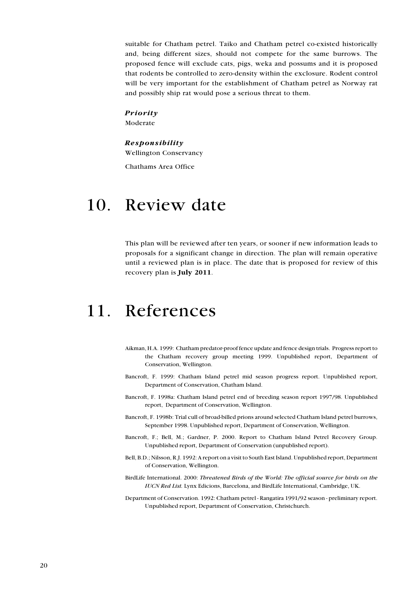<span id="page-19-0"></span>suitable for Chatham petrel. Taiko and Chatham petrel co-existed historically and, being different sizes, should not compete for the same burrows. The proposed fence will exclude cats, pigs, weka and possums and it is proposed that rodents be controlled to zero-density within the exclosure. Rodent control will be very important for the establishment of Chatham petrel as Norway rat and possibly ship rat would pose a serious threat to them.

### Priority

Moderate

#### Responsibility

**Wellington Conservancy** 

Chathams Area Office

## 10. Review date

This plan will be reviewed after ten years, or sooner if new information leads to proposals for a significant change in direction. The plan will remain operative until a reviewed plan is in place. The date that is proposed for review of this recovery plan is July 2011.

# 11. References

- Aikman, H.A. 1999: Chatham predator-proof fence update and fence design trials. Progress report to the Chatham recovery group meeting 1999. Unpublished report, Department of Conservation, Wellington.
- Bancroft, F. 1999: Chatham Island petrel mid season progress report. Unpublished report, Department of Conservation, Chatham Island.
- Bancroft, F. 1998a: Chatham Island petrel end of breeding season report 1997/98. Unpublished report, Department of Conservation, Wellington.
- Bancroft, F. 1998b: Trial cull of broad-billed prions around selected Chatham Island petrel burrows, September 1998. Unpublished report, Department of Conservation, Wellington.
- Bancroft, F.; Bell, M.; Gardner, P. 2000. Report to Chatham Island Petrel Recovery Group. Unpublished report, Department of Conservation (unpublished report).
- Bell, B.D.; Nilsson, R.J. 1992: A report on a visit to South East Island. Unpublished report, Department of Conservation, Wellington.
- BirdLife International. 2000: Threatened Birds of the World: The official source for birds on the IUCN Red List. Lynx Edicions, Barcelona, and BirdLife International, Cambridge, UK.
- Department of Conservation. 1992: Chatham petrel Rangatira 1991/92 season preliminary report. Unpublished report, Department of Conservation, Christchurch.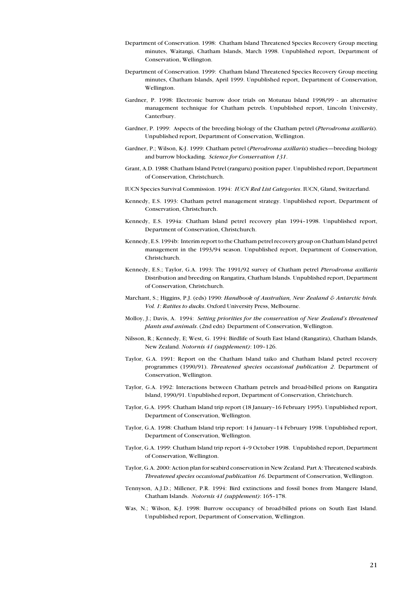- Department of Conservation. 1998: Chatham Island Threatened Species Recovery Group meeting minutes, Waitangi, Chatham Islands, March 1998. Unpublished report, Department of Conservation, Wellington.
- Department of Conservation. 1999: Chatham Island Threatened Species Recovery Group meeting minutes, Chatham Islands, April 1999. Unpublished report, Department of Conservation, Wellington.
- Gardner, P. 1998: Electronic burrow door trials on Motunau Island 1998/99 an alternative management technique for Chatham petrels. Unpublished report, Lincoln University, Canterbury.
- Gardner, P. 1999: Aspects of the breeding biology of the Chatham petrel (*Pterodroma axillaris*). Unpublished report, Department of Conservation, Wellington.
- Gardner, P.; Wilson, K-J. 1999: Chatham petrel (Pterodroma axillaris) studies-breeding biology and burrow blockading. Science for Conservation 131.
- Grant, A.D. 1988: Chatham Island Petrel (ranguru) position paper. Unpublished report, Department of Conservation, Christchurch.
- IUCN Species Survival Commission. 1994: *IUCN Red List Categories*. IUCN. Gland. Switzerland.
- Kennedy, E.S. 1993: Chatham petrel management strategy. Unpublished report, Department of Conservation, Christchurch.
- Kennedy, E.S. 1994a: Chatham Island petrel recovery plan 1994-1998. Unpublished report, Department of Conservation, Christchurch.
- Kennedy, E.S. 1994b: Interim report to the Chatham petrel recovery group on Chatham Island petrel management in the 1993/94 season. Unpublished report, Department of Conservation, Christchurch.
- Kennedy, E.S.; Taylor, G.A. 1993: The 1991/92 survey of Chatham petrel Pterodroma axillaris Distribution and breeding on Rangatira, Chatham Islands. Unpublished report, Department of Conservation, Christchurch
- Marchant, S.; Higgins, P.J. (eds) 1990: Handbook of Australian, New Zealand & Antarctic birds. Vol. 1: Ratites to ducks. Oxford University Press, Melbourne.
- Molloy, J.; Davis, A. 1994: Setting priorities for the conservation of New Zealand's threatened plants and animals. (2nd edn) Department of Conservation, Wellington.
- Nilsson, R.; Kennedy, E; West, G. 1994: Birdlife of South East Island (Rangatira), Chatham Islands, New Zealand. Notornis 41 (supplement): 109-126.
- Taylor, G.A. 1991: Report on the Chatham Island taiko and Chatham Island petrel recovery programmes (1990/91). Threatened species occasional publication 2. Department of Conservation, Wellington.
- Taylor, G.A. 1992: Interactions between Chatham petrels and broad-billed prions on Rangatira Island, 1990/91. Unpublished report, Department of Conservation, Christchurch.
- Taylor, G.A. 1995: Chatham Island trip report (18 January-16 February 1995). Unpublished report, Department of Conservation, Wellington.
- Taylor, G.A. 1998: Chatham Island trip report: 14 January-14 February 1998. Unpublished report, Department of Conservation, Wellington.
- Taylor, G.A. 1999: Chatham Island trip report 4-9 October 1998. Unpublished report, Department of Conservation, Wellington.
- Taylor, G.A. 2000: Action plan for seabird conservation in New Zealand. Part A: Threatened seabirds. Threatened species occasional publication 16. Department of Conservation, Wellington.
- Tennyson, A.J.D.; Millener, P.R. 1994; Bird extinctions and fossil bones from Mangere Island, Chatham Islands. Notornis 41 (supplement): 165-178.
- Was, N.; Wilson, K.J. 1998: Burrow occupancy of broad-billed prions on South East Island. Unpublished report, Department of Conservation, Wellington.